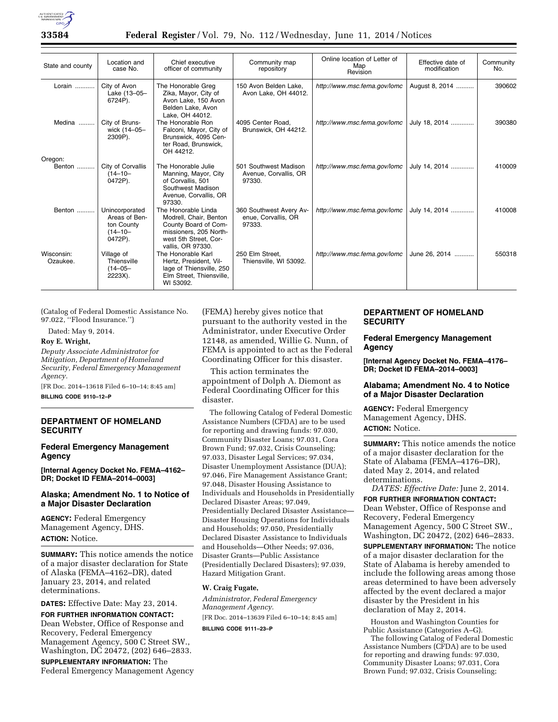

| State and county       | Location and<br>case No.                                                 | Chief executive<br>officer of community                                                                                                       | Community map<br>repository                              | Online location of Letter of<br>Map<br>Revision | Effective date of<br>modification | Community<br>No. |
|------------------------|--------------------------------------------------------------------------|-----------------------------------------------------------------------------------------------------------------------------------------------|----------------------------------------------------------|-------------------------------------------------|-----------------------------------|------------------|
| Lorain                 | City of Avon<br>Lake (13-05-<br>6724P).                                  | The Honorable Greg<br>Zika, Mayor, City of<br>Avon Lake, 150 Avon<br>Belden Lake, Avon<br>Lake, OH 44012.                                     | 150 Avon Belden Lake,<br>Avon Lake, OH 44012.            | http://www.msc.fema.gov/lomc                    | August 8, 2014                    | 390602           |
| Medina                 | City of Bruns-<br>wick (14-05-<br>2309P).                                | The Honorable Ron<br>Falconi, Mayor, City of<br>Brunswick, 4095 Cen-<br>ter Road, Brunswick,<br>OH 44212.                                     | 4095 Center Road.<br>Brunswick, OH 44212.                | http://www.msc.fema.gov/lomc                    | July 18, 2014                     | 390380           |
| Oregon:                |                                                                          |                                                                                                                                               |                                                          |                                                 |                                   |                  |
| Benton                 | City of Corvallis<br>$(14 - 10 -$<br>0472P).                             | The Honorable Julie<br>Manning, Mayor, City<br>of Corvallis, 501<br>Southwest Madison<br>Avenue, Corvallis, OR<br>97330.                      | 501 Southwest Madison<br>Avenue, Corvallis, OR<br>97330. | http://www.msc.fema.gov/lomc                    | July 14, 2014                     | 410009           |
| Benton                 | Unincorporated<br>Areas of Ben-<br>ton County<br>$(14 - 10 -$<br>0472P). | The Honorable Linda<br>Modrell, Chair, Benton<br>County Board of Com-<br>missioners, 205 North-<br>west 5th Street, Cor-<br>vallis, OR 97330. | 360 Southwest Avery Av-<br>enue, Corvallis, OR<br>97333. | http://www.msc.fema.gov/lomc                    | July 14, 2014                     | 410008           |
| Wisconsin:<br>Ozaukee. | Village of<br>Thiensville<br>$(14 - 05 -$<br>2223X).                     | The Honorable Karl<br>Hertz, President, Vil-<br>lage of Thiensville, 250<br>Elm Street, Thiensville,<br>WI 53092.                             | 250 Elm Street,<br>Thiensville, WI 53092.                | http://www.msc.fema.gov/lomc                    | June 26, 2014                     | 550318           |

(Catalog of Federal Domestic Assistance No. 97.022, ''Flood Insurance.'')

Dated: May 9, 2014.

## **Roy E. Wright,**

*Deputy Associate Administrator for Mitigation, Department of Homeland Security, Federal Emergency Management Agency.* 

[FR Doc. 2014–13618 Filed 6–10–14; 8:45 am] **BILLING CODE 9110–12–P** 

# **DEPARTMENT OF HOMELAND SECURITY**

#### **Federal Emergency Management Agency**

**[Internal Agency Docket No. FEMA–4162– DR; Docket ID FEMA–2014–0003]** 

## **Alaska; Amendment No. 1 to Notice of a Major Disaster Declaration**

**AGENCY:** Federal Emergency Management Agency, DHS. **ACTION:** Notice.

**SUMMARY:** This notice amends the notice of a major disaster declaration for State of Alaska (FEMA–4162–DR), dated January 23, 2014, and related determinations.

**DATES:** Effective Date: May 23, 2014.

**FOR FURTHER INFORMATION CONTACT:**  Dean Webster, Office of Response and Recovery, Federal Emergency Management Agency, 500 C Street SW., Washington, DC 20472, (202) 646–2833.

**SUPPLEMENTARY INFORMATION:** The Federal Emergency Management Agency (FEMA) hereby gives notice that pursuant to the authority vested in the Administrator, under Executive Order 12148, as amended, Willie G. Nunn, of FEMA is appointed to act as the Federal Coordinating Officer for this disaster.

This action terminates the appointment of Dolph A. Diemont as Federal Coordinating Officer for this disaster.

The following Catalog of Federal Domestic Assistance Numbers (CFDA) are to be used for reporting and drawing funds: 97.030, Community Disaster Loans; 97.031, Cora Brown Fund; 97.032, Crisis Counseling; 97.033, Disaster Legal Services; 97.034, Disaster Unemployment Assistance (DUA); 97.046, Fire Management Assistance Grant; 97.048, Disaster Housing Assistance to Individuals and Households in Presidentially Declared Disaster Areas; 97.049, Presidentially Declared Disaster Assistance— Disaster Housing Operations for Individuals and Households; 97.050, Presidentially Declared Disaster Assistance to Individuals and Households—Other Needs; 97.036, Disaster Grants—Public Assistance (Presidentially Declared Disasters); 97.039, Hazard Mitigation Grant.

#### **W. Craig Fugate,**

*Administrator, Federal Emergency Management Agency.*  [FR Doc. 2014–13639 Filed 6–10–14; 8:45 am] **BILLING CODE 9111–23–P** 

# **DEPARTMENT OF HOMELAND SECURITY**

## **Federal Emergency Management Agency**

**[Internal Agency Docket No. FEMA–4176– DR; Docket ID FEMA–2014–0003]** 

## **Alabama; Amendment No. 4 to Notice of a Major Disaster Declaration**

**AGENCY:** Federal Emergency Management Agency, DHS. **ACTION:** Notice.

**SUMMARY:** This notice amends the notice of a major disaster declaration for the State of Alabama (FEMA–4176–DR), dated May 2, 2014, and related determinations.

*DATES: Effective Date:* June 2, 2014. **FOR FURTHER INFORMATION CONTACT:** 

Dean Webster, Office of Response and Recovery, Federal Emergency Management Agency, 500 C Street SW., Washington, DC 20472, (202) 646–2833.

**SUPPLEMENTARY INFORMATION:** The notice of a major disaster declaration for the State of Alabama is hereby amended to include the following areas among those areas determined to have been adversely affected by the event declared a major disaster by the President in his declaration of May 2, 2014.

Houston and Washington Counties for Public Assistance (Categories A–G).

The following Catalog of Federal Domestic Assistance Numbers (CFDA) are to be used for reporting and drawing funds: 97.030, Community Disaster Loans; 97.031, Cora Brown Fund; 97.032, Crisis Counseling;